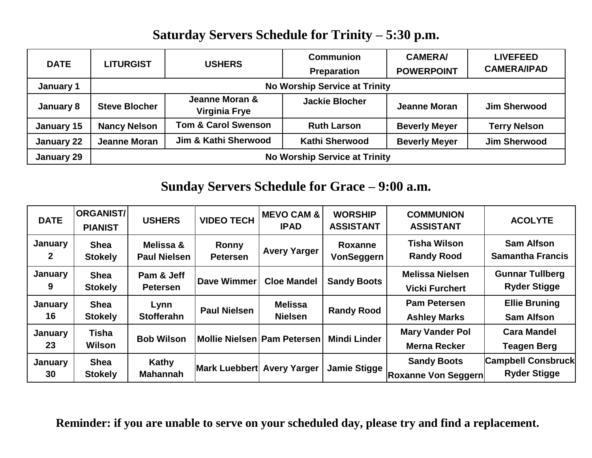## **Saturday Servers Schedule for Trinity – 5:30 p.m.**

| <b>DATE</b> | <b>LITURGIST</b>                     | <b>USHERS</b>                   | <b>Communion</b><br><b>Preparation</b> | <b>CAMERA/</b><br><b>POWERPOINT</b> | <b>LIVEFEED</b><br><b>CAMERA/IPAD</b> |  |  |  |
|-------------|--------------------------------------|---------------------------------|----------------------------------------|-------------------------------------|---------------------------------------|--|--|--|
| January 1   | <b>No Worship Service at Trinity</b> |                                 |                                        |                                     |                                       |  |  |  |
| January 8   | <b>Steve Blocher</b>                 | Jeanne Moran &<br>Virginia Frye | <b>Jackie Blocher</b>                  | <b>Jeanne Moran</b>                 | <b>Jim Sherwood</b>                   |  |  |  |
| January 15  | <b>Nancy Nelson</b>                  | <b>Tom &amp; Carol Swenson</b>  | <b>Ruth Larson</b>                     | <b>Beverly Meyer</b>                | <b>Terry Nelson</b>                   |  |  |  |
| January 22  | <b>Jeanne Moran</b>                  | Jim & Kathi Sherwood            | <b>Kathi Sherwood</b>                  | <b>Beverly Meyer</b>                | <b>Jim Sherwood</b>                   |  |  |  |
| January 29  | <b>No Worship Service at Trinity</b> |                                 |                                        |                                     |                                       |  |  |  |

# **Sunday Servers Schedule for Grace – 9:00 a.m.**

| <b>DATE</b>          | <b>ORGANIST/</b><br><b>PIANIST</b> | <b>USHERS</b>                    | <b>VIDEO TECH</b>               | <b>MEVO CAM &amp;</b><br><b>IPAD</b> | <b>WORSHIP</b><br><b>ASSISTANT</b> | <b>COMMUNION</b><br><b>ASSISTANT</b>             | <b>ACOLYTE</b>                                   |
|----------------------|------------------------------------|----------------------------------|---------------------------------|--------------------------------------|------------------------------------|--------------------------------------------------|--------------------------------------------------|
| January<br>2         | <b>Shea</b><br><b>Stokely</b>      | Melissa &<br><b>Paul Nielsen</b> | <b>Ronny</b><br><b>Petersen</b> | <b>Avery Yarger</b>                  | Roxanne<br>VonSeggern              | <b>Tisha Wilson</b><br><b>Randy Rood</b>         | <b>Sam Alfson</b><br><b>Samantha Francis</b>     |
| January<br>9         | <b>Shea</b><br><b>Stokely</b>      | Pam & Jeff<br><b>Petersen</b>    | Dave Wimmer                     | <b>Cloe Mandel</b>                   | <b>Sandy Boots</b>                 | <b>Melissa Nielsen</b><br><b>Vicki Furchert</b>  | <b>Gunnar Tullberg</b><br><b>Ryder Stigge</b>    |
| January<br>16        | <b>Shea</b><br><b>Stokely</b>      | Lynn<br><b>Stofferahn</b>        | <b>Paul Nielsen</b>             | <b>Melissa</b><br><b>Nielsen</b>     | <b>Randy Rood</b>                  | <b>Pam Petersen</b><br><b>Ashley Marks</b>       | <b>Ellie Bruning</b><br><b>Sam Alfson</b>        |
| January<br>23        | Tisha<br>Wilson                    | <b>Bob Wilson</b>                | Mollie Nielsen   Pam Petersen   |                                      | <b>Mindi Linder</b>                | <b>Mary Vander Pol</b><br><b>Merna Recker</b>    | <b>Cara Mandel</b><br><b>Teagen Berg</b>         |
| <b>January</b><br>30 | <b>Shea</b><br><b>Stokely</b>      | Kathy<br><b>Mahannah</b>         | <b>Mark Luebbert</b>            | <b>Avery Yarger</b>                  | <b>Jamie Stigge</b>                | <b>Sandy Boots</b><br><b>Roxanne Von Seggern</b> | <b>Campbell Consbruck</b><br><b>Ryder Stigge</b> |

**Reminder: if you are unable to serve on your scheduled day, please try and find a replacement.**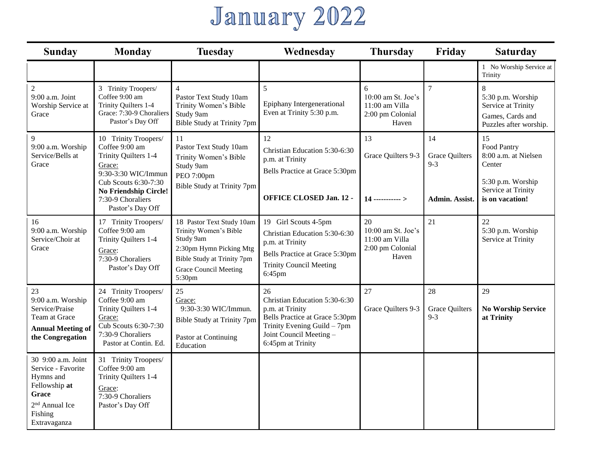# January 2022

| <b>Monday</b><br><b>Sunday</b>                                                                                                           |                                                                                                                                                                                                  | <b>Tuesday</b>                                                                                                                                                     | Wednesday                                                                                                                                                               | <b>Thursday</b>                                                            | Friday                                                   | <b>Saturday</b>                                                                                                   |
|------------------------------------------------------------------------------------------------------------------------------------------|--------------------------------------------------------------------------------------------------------------------------------------------------------------------------------------------------|--------------------------------------------------------------------------------------------------------------------------------------------------------------------|-------------------------------------------------------------------------------------------------------------------------------------------------------------------------|----------------------------------------------------------------------------|----------------------------------------------------------|-------------------------------------------------------------------------------------------------------------------|
|                                                                                                                                          |                                                                                                                                                                                                  |                                                                                                                                                                    |                                                                                                                                                                         |                                                                            |                                                          | 1 No Worship Service at<br>Trinity                                                                                |
| $\overline{c}$<br>9:00 a.m. Joint<br>Worship Service at<br>Grace                                                                         | 3 Trinity Troopers/<br>Coffee 9:00 am<br>Trinity Quilters 1-4<br>Grace: 7:30-9 Choraliers<br>Pastor's Day Off                                                                                    | $\overline{4}$<br>Pastor Text Study 10am<br>Trinity Women's Bible<br>Study 9am<br>Bible Study at Trinity 7pm                                                       | 5<br>Epiphany Intergenerational<br>Even at Trinity 5:30 p.m.                                                                                                            | $6\,$<br>10:00 am St. Joe's<br>11:00 am Villa<br>2:00 pm Colonial<br>Haven | $\tau$                                                   | 8<br>5:30 p.m. Worship<br>Service at Trinity<br>Games, Cards and<br>Puzzles after worship.                        |
| 9<br>9:00 a.m. Worship<br>Service/Bells at<br>Grace                                                                                      | 10 Trinity Troopers/<br>Coffee 9:00 am<br>Trinity Quilters 1-4<br>Grace:<br>9:30-3:30 WIC/Immun<br>Cub Scouts 6:30-7:30<br><b>No Friendship Circle!</b><br>7:30-9 Choraliers<br>Pastor's Day Off | 11<br>Pastor Text Study 10am<br>Trinity Women's Bible<br>Study 9am<br>PEO 7:00pm<br>Bible Study at Trinity 7pm                                                     | 12<br>Christian Education 5:30-6:30<br>p.m. at Trinity<br>Bells Practice at Grace 5:30pm<br><b>OFFICE CLOSED Jan. 12 -</b>                                              | 13<br>Grace Quilters 9-3<br>$14$ ----------->                              | 14<br><b>Grace Quilters</b><br>$9 - 3$<br>Admin. Assist. | 15<br>Food Pantry<br>8:00 a.m. at Nielsen<br>Center<br>5:30 p.m. Worship<br>Service at Trinity<br>is on vacation! |
| 16<br>9:00 a.m. Worship<br>Service/Choir at<br>Grace                                                                                     | 17 Trinity Troopers/<br>Coffee 9:00 am<br>Trinity Quilters 1-4<br>Grace:<br>7:30-9 Choraliers<br>Pastor's Day Off                                                                                | 18 Pastor Text Study 10am<br>Trinity Women's Bible<br>Study 9am<br>2:30pm Hymn Picking Mtg<br>Bible Study at Trinity 7pm<br><b>Grace Council Meeting</b><br>5:30pm | 19 Girl Scouts 4-5pm<br>Christian Education 5:30-6:30<br>p.m. at Trinity<br>Bells Practice at Grace 5:30pm<br><b>Trinity Council Meeting</b><br>6:45pm                  | 20<br>10:00 am St. Joe's<br>11:00 am Villa<br>2:00 pm Colonial<br>Haven    | 21                                                       | 22<br>5:30 p.m. Worship<br>Service at Trinity                                                                     |
| 23<br>9:00 a.m. Worship<br>Service/Praise<br>Team at Grace<br><b>Annual Meeting of</b><br>the Congregation                               | 24 Trinity Troopers/<br>Coffee 9:00 am<br>Trinity Quilters 1-4<br>Grace:<br>Cub Scouts 6:30-7:30<br>7:30-9 Choraliers<br>Pastor at Contin. Ed.                                                   | 25<br>Grace:<br>9:30-3:30 WIC/Immun.<br>Bible Study at Trinity 7pm<br>Pastor at Continuing<br>Education                                                            | 26<br>Christian Education 5:30-6:30<br>p.m. at Trinity<br>Bells Practice at Grace 5:30pm<br>Trinity Evening Guild - 7pm<br>Joint Council Meeting -<br>6:45pm at Trinity | 27<br>Grace Quilters 9-3                                                   | 28<br><b>Grace Quilters</b><br>$9 - 3$                   | 29<br><b>No Worship Service</b><br>at Trinity                                                                     |
| 30 9:00 a.m. Joint<br>Service - Favorite<br>Hymns and<br>Fellowship at<br>Grace<br>2 <sup>nd</sup> Annual Ice<br>Fishing<br>Extravaganza | 31 Trinity Troopers/<br>Coffee 9:00 am<br>Trinity Quilters 1-4<br>Grace:<br>7:30-9 Choraliers<br>Pastor's Day Off                                                                                |                                                                                                                                                                    |                                                                                                                                                                         |                                                                            |                                                          |                                                                                                                   |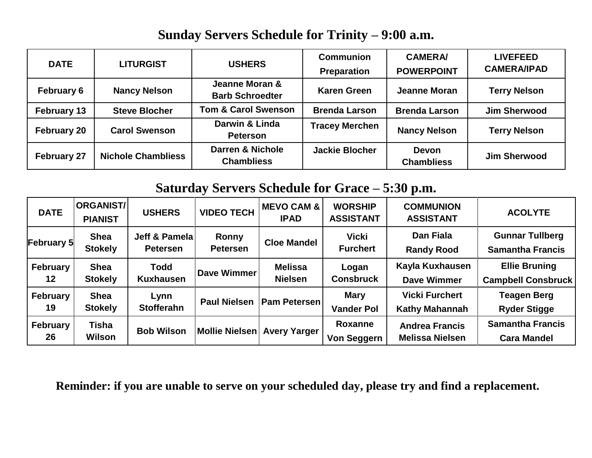#### **Sunday Servers Schedule for Trinity – 9:00 a.m.**

| <b>DATE</b>        | <b>LITURGIST</b>          | <b>USHERS</b>                                    | <b>Communion</b><br><b>Preparation</b> | <b>CAMERA/</b><br><b>POWERPOINT</b> | <b>LIVEFEED</b><br><b>CAMERA/IPAD</b> |
|--------------------|---------------------------|--------------------------------------------------|----------------------------------------|-------------------------------------|---------------------------------------|
| <b>February 6</b>  | <b>Nancy Nelson</b>       | Jeanne Moran &<br><b>Barb Schroedter</b>         | <b>Karen Green</b>                     | Jeanne Moran                        | <b>Terry Nelson</b>                   |
| <b>February 13</b> | <b>Steve Blocher</b>      | <b>Tom &amp; Carol Swenson</b>                   | <b>Brenda Larson</b>                   | <b>Brenda Larson</b>                | <b>Jim Sherwood</b>                   |
| <b>February 20</b> | <b>Carol Swenson</b>      | Darwin & Linda<br><b>Peterson</b>                | <b>Tracey Merchen</b>                  | <b>Nancy Nelson</b>                 | <b>Terry Nelson</b>                   |
| <b>February 27</b> | <b>Nichole Chambliess</b> | <b>Darren &amp; Nichole</b><br><b>Chambliess</b> | <b>Jackie Blocher</b>                  | <b>Devon</b><br><b>Chambliess</b>   | <b>Jim Sherwood</b>                   |

## **Saturday Servers Schedule for Grace – 5:30 p.m.**

| <b>DATE</b>    | ORGANIST/<br><b>PIANIST</b>   | <b>USHERS</b>                     | <b>VIDEO TECH</b>               | <b>MEVO CAM &amp;</b><br><b>IPAD</b> | <b>WORSHIP</b><br><b>ASSISTANT</b> | <b>COMMUNION</b><br><b>ASSISTANT</b>            | <b>ACOLYTE</b>                                    |
|----------------|-------------------------------|-----------------------------------|---------------------------------|--------------------------------------|------------------------------------|-------------------------------------------------|---------------------------------------------------|
| February 5     | <b>Shea</b><br><b>Stokely</b> | Jeff & Pamelal<br><b>Petersen</b> | <b>Ronny</b><br><b>Petersen</b> | <b>Cloe Mandel</b>                   | <b>Vicki</b><br><b>Furchert</b>    | <b>Dan Fiala</b><br><b>Randy Rood</b>           | <b>Gunnar Tullberg</b><br><b>Samantha Francis</b> |
| February<br>12 | <b>Shea</b><br><b>Stokely</b> | <b>Todd</b><br><b>Kuxhausen</b>   | Dave Wimmer                     | <b>Melissa</b><br><b>Nielsen</b>     | Logan<br><b>Consbruck</b>          | Kayla Kuxhausen<br><b>Dave Wimmer</b>           | <b>Ellie Bruning</b><br><b>Campbell Consbruck</b> |
| February<br>19 | <b>Shea</b><br><b>Stokely</b> | Lynn<br><b>Stofferahn</b>         | <b>Paul Nielsen</b>             | <b>Pam Petersen</b>                  | <b>Mary</b><br><b>Vander Pol</b>   | <b>Vicki Furchert</b><br><b>Kathy Mahannah</b>  | <b>Teagen Berg</b><br><b>Ryder Stigge</b>         |
| February<br>26 | <b>Tisha</b><br>Wilson        | <b>Bob Wilson</b>                 | Mollie Nielsen                  | <b>Avery Yarger</b>                  | Roxanne<br>Von Seggern             | <b>Andrea Francis</b><br><b>Melissa Nielsen</b> | <b>Samantha Francis</b><br><b>Cara Mandel</b>     |

**Reminder: if you are unable to serve on your scheduled day, please try and find a replacement.**